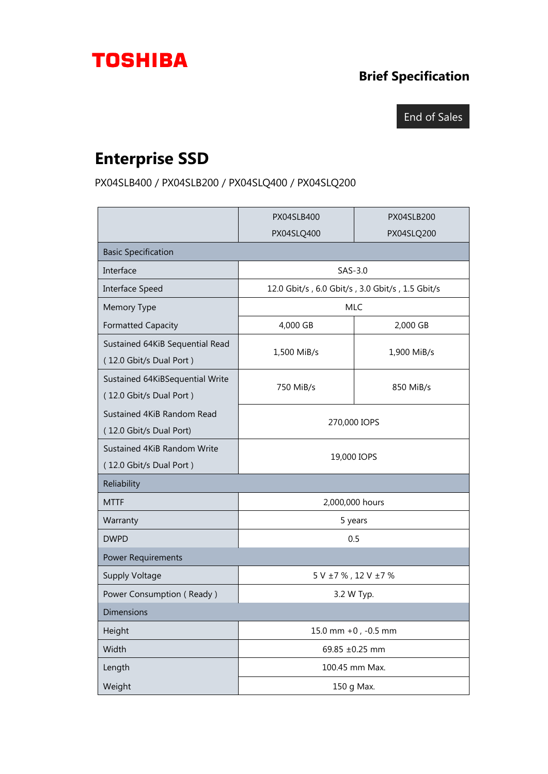## **TOSHIBA**

## **Brief Specification**

## End of Sales

## **Enterprise SSD**

PX04SLB400 / PX04SLB200 / PX04SLQ400 / PX04SLQ200

|                                                            | <b>PX04SLB400</b>                               | PX04SLB200  |
|------------------------------------------------------------|-------------------------------------------------|-------------|
|                                                            | PX04SLQ400                                      | PX04SLQ200  |
| <b>Basic Specification</b>                                 |                                                 |             |
| Interface                                                  | $SAS-3.0$                                       |             |
| Interface Speed                                            | 12.0 Gbit/s, 6.0 Gbit/s, 3.0 Gbit/s, 1.5 Gbit/s |             |
| Memory Type                                                | <b>MLC</b>                                      |             |
| <b>Formatted Capacity</b>                                  | 4,000 GB                                        | 2,000 GB    |
| Sustained 64KiB Sequential Read<br>(12.0 Gbit/s Dual Port) | 1,500 MiB/s                                     | 1,900 MiB/s |
| Sustained 64KiBSequential Write<br>(12.0 Gbit/s Dual Port) | 750 MiB/s                                       | 850 MiB/s   |
| Sustained 4KiB Random Read<br>(12.0 Gbit/s Dual Port)      | 270,000 IOPS                                    |             |
| Sustained 4KiB Random Write<br>(12.0 Gbit/s Dual Port)     | 19,000 IOPS                                     |             |
| Reliability                                                |                                                 |             |
| <b>MTTF</b>                                                | 2,000,000 hours                                 |             |
| Warranty                                                   | 5 years                                         |             |
| <b>DWPD</b>                                                | 0.5                                             |             |
| <b>Power Requirements</b>                                  |                                                 |             |
| <b>Supply Voltage</b>                                      | $5$ V $\pm 7$ % , 12 V $\pm 7$ %                |             |
| Power Consumption (Ready)                                  | 3.2 W Typ.                                      |             |
| <b>Dimensions</b>                                          |                                                 |             |
| Height                                                     | 15.0 mm +0, -0.5 mm                             |             |
| Width                                                      | 69.85 ±0.25 mm                                  |             |
| Length                                                     | 100.45 mm Max.                                  |             |
| Weight                                                     | 150 g Max.                                      |             |